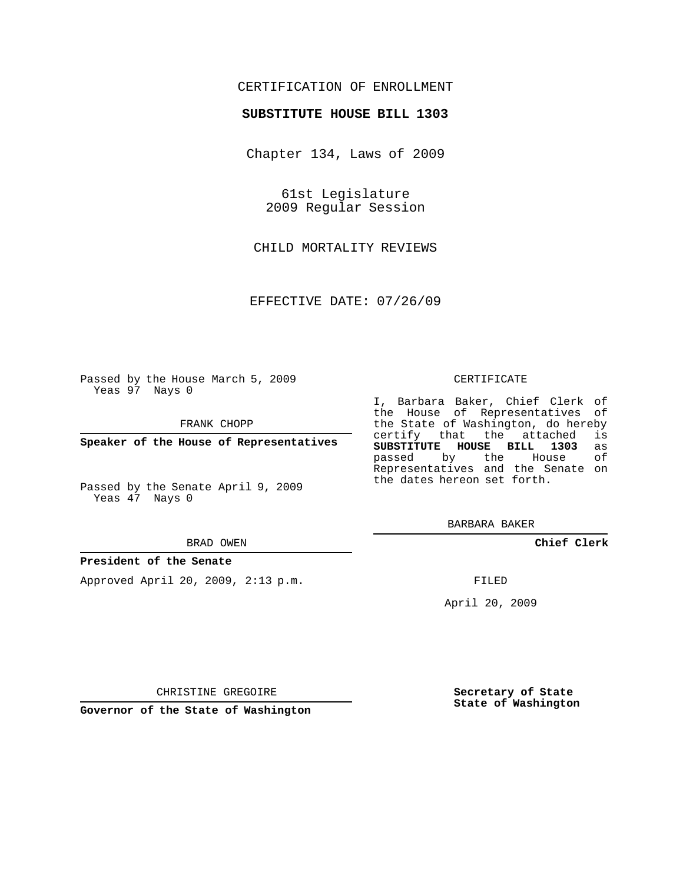## CERTIFICATION OF ENROLLMENT

### **SUBSTITUTE HOUSE BILL 1303**

Chapter 134, Laws of 2009

61st Legislature 2009 Regular Session

CHILD MORTALITY REVIEWS

EFFECTIVE DATE: 07/26/09

Passed by the House March 5, 2009 Yeas 97 Nays 0

FRANK CHOPP

**Speaker of the House of Representatives**

Passed by the Senate April 9, 2009 Yeas 47 Nays 0

#### BRAD OWEN

#### **President of the Senate**

Approved April 20, 2009, 2:13 p.m.

#### CERTIFICATE

I, Barbara Baker, Chief Clerk of the House of Representatives of the State of Washington, do hereby<br>certify that the attached is certify that the attached **SUBSTITUTE HOUSE BILL 1303** as passed by the Representatives and the Senate on the dates hereon set forth.

BARBARA BAKER

**Chief Clerk**

FILED

April 20, 2009

**Secretary of State State of Washington**

CHRISTINE GREGOIRE

**Governor of the State of Washington**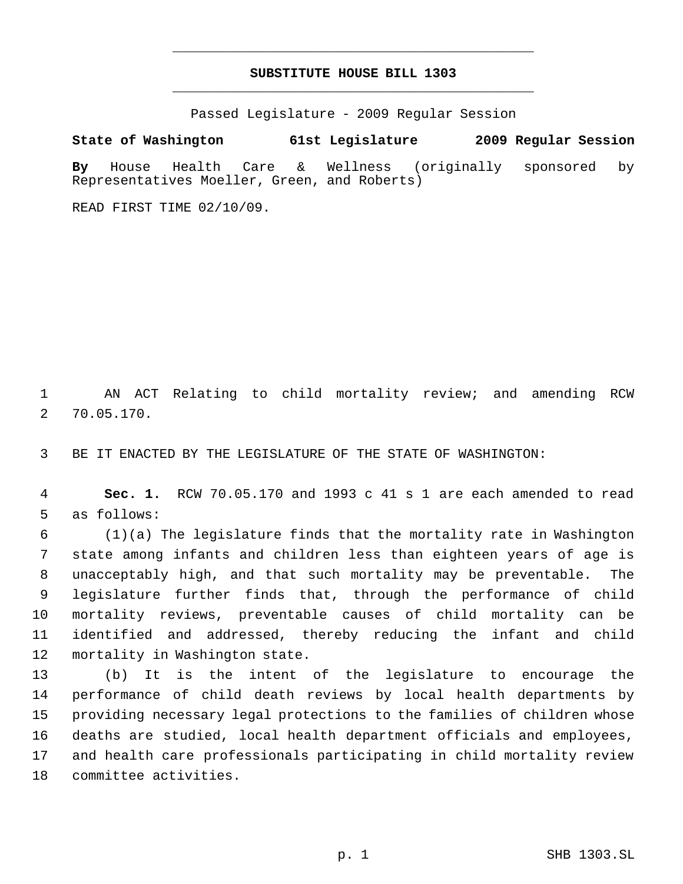# **SUBSTITUTE HOUSE BILL 1303** \_\_\_\_\_\_\_\_\_\_\_\_\_\_\_\_\_\_\_\_\_\_\_\_\_\_\_\_\_\_\_\_\_\_\_\_\_\_\_\_\_\_\_\_\_

\_\_\_\_\_\_\_\_\_\_\_\_\_\_\_\_\_\_\_\_\_\_\_\_\_\_\_\_\_\_\_\_\_\_\_\_\_\_\_\_\_\_\_\_\_

Passed Legislature - 2009 Regular Session

**State of Washington 61st Legislature 2009 Regular Session By** House Health Care & Wellness (originally sponsored by Representatives Moeller, Green, and Roberts)

READ FIRST TIME 02/10/09.

 AN ACT Relating to child mortality review; and amending RCW 70.05.170.

BE IT ENACTED BY THE LEGISLATURE OF THE STATE OF WASHINGTON:

 **Sec. 1.** RCW 70.05.170 and 1993 c 41 s 1 are each amended to read as follows:

 (1)(a) The legislature finds that the mortality rate in Washington state among infants and children less than eighteen years of age is unacceptably high, and that such mortality may be preventable. The legislature further finds that, through the performance of child mortality reviews, preventable causes of child mortality can be identified and addressed, thereby reducing the infant and child mortality in Washington state.

 (b) It is the intent of the legislature to encourage the performance of child death reviews by local health departments by providing necessary legal protections to the families of children whose deaths are studied, local health department officials and employees, and health care professionals participating in child mortality review committee activities.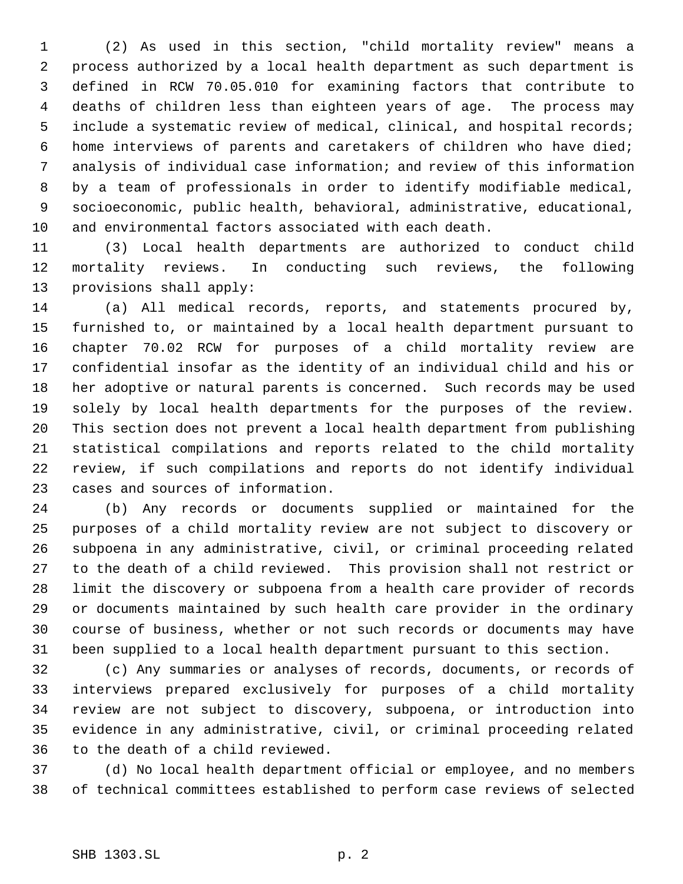(2) As used in this section, "child mortality review" means a process authorized by a local health department as such department is defined in RCW 70.05.010 for examining factors that contribute to deaths of children less than eighteen years of age. The process may include a systematic review of medical, clinical, and hospital records; home interviews of parents and caretakers of children who have died; analysis of individual case information; and review of this information by a team of professionals in order to identify modifiable medical, socioeconomic, public health, behavioral, administrative, educational, and environmental factors associated with each death.

 (3) Local health departments are authorized to conduct child mortality reviews. In conducting such reviews, the following provisions shall apply:

 (a) All medical records, reports, and statements procured by, furnished to, or maintained by a local health department pursuant to chapter 70.02 RCW for purposes of a child mortality review are confidential insofar as the identity of an individual child and his or her adoptive or natural parents is concerned. Such records may be used solely by local health departments for the purposes of the review. This section does not prevent a local health department from publishing statistical compilations and reports related to the child mortality review, if such compilations and reports do not identify individual cases and sources of information.

 (b) Any records or documents supplied or maintained for the purposes of a child mortality review are not subject to discovery or subpoena in any administrative, civil, or criminal proceeding related to the death of a child reviewed. This provision shall not restrict or limit the discovery or subpoena from a health care provider of records or documents maintained by such health care provider in the ordinary course of business, whether or not such records or documents may have been supplied to a local health department pursuant to this section.

 (c) Any summaries or analyses of records, documents, or records of interviews prepared exclusively for purposes of a child mortality review are not subject to discovery, subpoena, or introduction into evidence in any administrative, civil, or criminal proceeding related to the death of a child reviewed.

 (d) No local health department official or employee, and no members of technical committees established to perform case reviews of selected